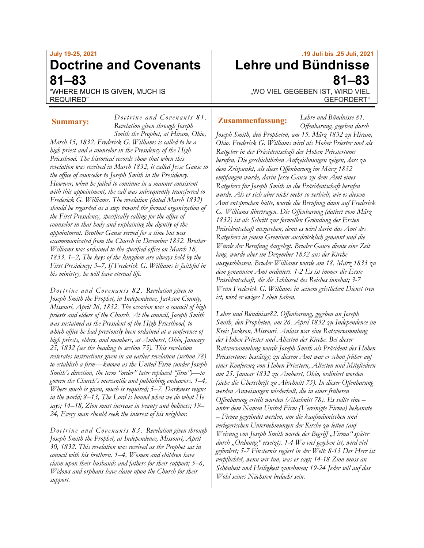# **July 19-25, 2021 Doctrine and Covenants 81–83**

*Doctrine and Covenants 81.*

"WHERE MUCH IS GIVEN, MUCH IS REQUIRED"

*Revelation given through Joseph Smith the Prophet, at Hiram, Ohio, March 15, 1832. Frederick G. Williams is called to be a high priest and a counselor in the Presidency of the High Priesthood. The historical records show that when this revelation was received in March 1832, it called Jesse Gause to the office of counselor to Joseph Smith in the Presidency. However, when he failed to continue in a manner consistent with this appointment, the call was subsequently transferred to Frederick G. Williams. The revelation (dated March 1832) should be regarded as a step toward the formal organization of the First Presidency, specifically calling for the office of counselor in that body and explaining the dignity of the appointment. Brother Gause served for a time but was excommunicated from the Church in December 1832. Brother Williams was ordained to the specified office on March 18, 1833. 1–2, The keys of the kingdom are always held by the First Presidency; 3–7, If Frederick G. Williams is faithful in his ministry, he will have eternal life.*

*Doctrine and Covenants 82. Revelation given to Joseph Smith the Prophet, in Independence, Jackson County, Missouri, April 26, 1832. The occasion was a council of high priests and elders of the Church. At the council, Joseph Smith was sustained as the President of the High Priesthood, to which office he had previously been ordained at a conference of high priests, elders, and members, at Amherst, Ohio, January 25, 1832 (see the heading to section 75). This revelation reiterates instructions given in an earlier revelation (section 78) to establish a firm—known as the United Firm (under Joseph Smith's direction, the term "order" later replaced "firm")—to govern the Church's mercantile and publishing endeavors. 1–4, Where much is given, much is required; 5–7, Darkness reigns in the world; 8–13, The Lord is bound when we do what He says; 14–18, Zion must increase in beauty and holiness; 19– 24, Every man should seek the interest of his neighbor.*

*Doctrine and Covenants 83. Revelation given through Joseph Smith the Prophet, at Independence, Missouri, April 30, 1832. This revelation was received as the Prophet sat in council with his brethren. 1–4, Women and children have claim upon their husbands and fathers for their support; 5–6, Widows and orphans have claim upon the Church for their support.*

# **.19 Juli bis .25 Juli, 2021 Lehre und Bündnisse 81–83**

.. WO VIEL GEGEBEN IST, WIRD VIEL GEFORDERT"

*Lehre und Bündnisse 81.*

### **Summary:** *Douting and Covenants of Austings**Zusammenfassung:*

*Offenbarung, gegeben durch Joseph Smith, den Propheten, am 15. März 1832 zu Hiram, Ohio. Frederick G. Williams wird als Hoher Priester und als Ratgeber in der Präsidentschaft des Hohen Priestertums berufen. Die geschichtlichen Aufzeichnungen zeigen, dass zu dem Zeitpunkt, als diese Offenbarung im März 1832 empfangen wurde, darin Jesse Gause zu dem Amt eines Ratgebers für Joseph Smith in die Präsidentschaft berufen wurde. Als er sich aber nicht mehr so verhielt, wie es diesem Amt entsprochen hätte, wurde die Berufung dann auf Frederick G. Williams übertragen. Die Offenbarung (datiert vom März 1832) ist als Schritt zur formellen Gründung der Ersten Präsidentschaft anzusehen, denn es wird darin das Amt des Ratgebers in jenem Gremium ausdrücklich genannt und die Würde der Berufung dargelegt. Bruder Gause diente eine Zeit lang, wurde aber im Dezember 1832 aus der Kirche ausgeschlossen. Bruder Williams wurde am 18. März 1833 zu dem genannten Amt ordiniert. 1-2 Es ist immer die Erste Präsidentschaft, die die Schlüssel des Reiches innehat; 3-7 Wenn Frederick G. Williams in seinem geistlichen Dienst treu ist, wird er ewiges Leben haben.*

*Lehre und Bündnisse82. Offenbarung, gegeben an Joseph Smith, den Propheten, am 26. April 1832 zu Independence im Kreis Jackson, Missouri. Anlass war eine Ratsversammlung der Hohen Priester und Ältesten der Kirche. Bei dieser Ratsversammlung wurde Joseph Smith als Präsident des Hohen Priestertums bestätigt; zu diesem Amt war er schon früher auf einer Konferenz von Hohen Priestern, Ältesten und Mitgliedern am 25. Januar 1832 zu Amherst, Ohio, ordiniert worden (siehe die Überschrift zu Abschnitt 75). In dieser Offenbarung werden Anweisungen wiederholt, die in einer früheren Offenbarung erteilt wurden (Abschnitt 78). Es sollte eine – unter dem Namen United Firm (Vereinigte Firma) bekannte – Firma gegründet werden, um die kaufmännischen und verlegerischen Unternehmungen der Kirche zu leiten (auf Weisung von Joseph Smith wurde der Begriff "Firma" später durch "Ordnung" ersetzt). 1-4 Wo viel gegeben ist, wird viel gefordert; 5-7 Finsternis regiert in der Welt; 8-13 Der Herr ist verpflichtet, wenn wir tun, was er sagt; 14-18 Zion muss an Schönheit und Heiligkeit zunehmen; 19-24 Jeder soll auf das Wohl seines Nächsten bedacht sein.*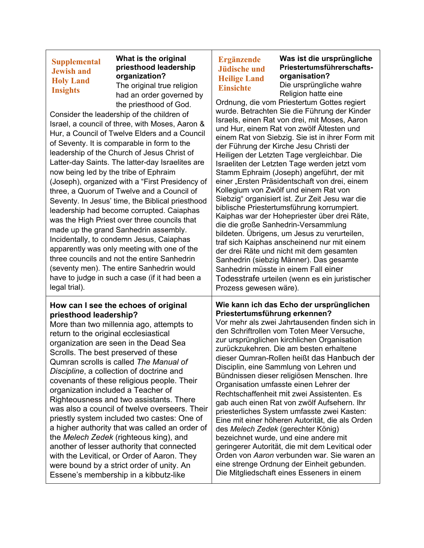# **Supplemental Jewish and Holy Land Insights**

#### **What is the original priesthood leadership organization?** The original true religion

had an order governed by the priesthood of God.

Consider the leadership of the children of Israel, a council of three, with Moses, Aaron & Hur, a Council of Twelve Elders and a Council of Seventy. It is comparable in form to the leadership of the Church of Jesus Christ of Latter-day Saints. The latter-day Israelites are now being led by the tribe of Ephraim (Joseph), organized with a "First Presidency of three, a Quorum of Twelve and a Council of Seventy. In Jesus' time, the Biblical priesthood leadership had become corrupted. Caiaphas was the High Priest over three councils that made up the grand Sanhedrin assembly. Incidentally, to condemn Jesus, Caiaphas apparently was only meeting with one of the three councils and not the entire Sanhedrin (seventy men). The entire Sanhedrin would have to judge in such a case (if it had been a legal trial).

### **How can I see the echoes of original priesthood leadership?**

More than two millennia ago, attempts to return to the original ecclesiastical organization are seen in the Dead Sea Scrolls. The best preserved of these Qumran scrolls is called *The Manual of Discipline*, a collection of doctrine and covenants of these religious people. Their organization included a Teacher of Righteousness and two assistants. There was also a council of twelve overseers. Their priestly system included two castes: One of a higher authority that was called an order of the *Melech Zedek* (righteous king), and another of lesser authority that connected with the Levitical, or Order of Aaron. They were bound by a strict order of unity. An Essene's membership in a kibbutz-like

# **Ergänzende Jüdische und Heilige Land Einsichte**

**Was ist die ursprüngliche Priestertumsführerschaftsorganisation?** Die ursprüngliche wahre

Religion hatte eine

Ordnung, die vom Priestertum Gottes regiert wurde. Betrachten Sie die Führung der Kinder Israels, einen Rat von drei, mit Moses, Aaron und Hur, einem Rat von zwölf Ältesten und einem Rat von Siebzig. Sie ist in ihrer Form mit der Führung der Kirche Jesu Christi der Heiligen der Letzten Tage vergleichbar. Die Israeliten der Letzten Tage werden jetzt vom Stamm Ephraim (Joseph) angeführt, der mit einer "Ersten Präsidentschaft von drei, einem Kollegium von Zwölf und einem Rat von Siebzig" organisiert ist. Zur Zeit Jesu war die biblische Priestertumsführung korrumpiert. Kaiphas war der Hohepriester über drei Räte, die die große Sanhedrin-Versammlung bildeten. Übrigens, um Jesus zu verurteilen, traf sich Kaiphas anscheinend nur mit einem der drei Räte und nicht mit dem gesamten Sanhedrin (siebzig Männer). Das gesamte Sanhedrin müsste in einem Fall einer Todesstrafe urteilen (wenn es ein juristischer Prozess gewesen wäre).

# **Wie kann ich das Echo der ursprünglichen Priestertumsführung erkennen?**

Vor mehr als zwei Jahrtausenden finden sich in den Schriftrollen vom Toten Meer Versuche, zur ursprünglichen kirchlichen Organisation zurückzukehren. Die am besten erhaltene dieser Qumran-Rollen heißt das Hanbuch der Disciplin, eine Sammlung von Lehren und Bündnissen dieser religiösen Menschen. Ihre Organisation umfasste einen Lehrer der Rechtschaffenheit mit zwei Assistenten. Es gab auch einen Rat von zwölf Aufsehern. Ihr priesterliches System umfasste zwei Kasten: Eine mit einer höheren Autorität, die als Orden des *Melech Zedek* (gerechter König) bezeichnet wurde, und eine andere mit geringerer Autorität, die mit dem Levitical oder Orden von *Aaron* verbunden war. Sie waren an eine strenge Ordnung der Einheit gebunden. Die Mitgliedschaft eines Esseners in einem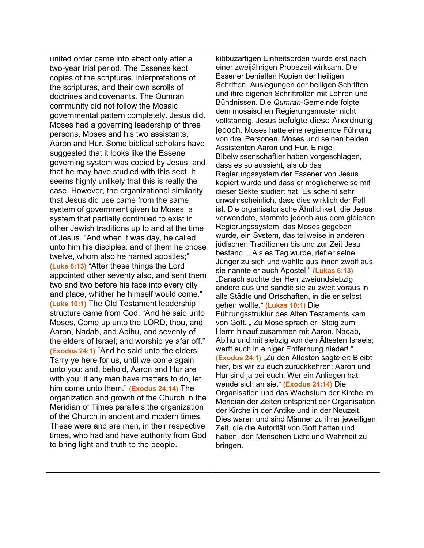united order came into effect only after a two-year trial period. The Essenes kept copies of the scriptures, interpretations of the scriptures, and their own scrolls of doctrines and covenants. The Qumran community did not follow the Mosaic governmental pattern completely. Jesus did. Moses had a governing leadership of three persons, Moses and his two assistants, Aaron and Hur. Some biblical scholars have suggested that it looks like the Essene governing system was copied by Jesus, and that he may have studied with this sect. It seems highly unlikely that this is really the case. However, the organizational similarity that Jesus did use came from the same system of government given to Moses, a system that partially continued to exist in other Jewish traditions up to and at the time of Jesus. "And when it was day, he called unto him his disciples: and of them he chose twelve, whom also he named apostles;" **(Luke 6:13)** "After these things the Lord appointed other seventy also, and sent them two and two before his face into every city and place, whither he himself would come." **(Luke 10:1)** The Old Testament leadership structure came from God. "And he said unto Moses, Come up unto the LORD, thou, and Aaron, Nadab, and Abihu, and seventy of the elders of Israel; and worship ye afar off." **(Exodus 24:1)** "And he said unto the elders, Tarry ye here for us, until we come again unto you: and, behold, Aaron and Hur are with you: if any man have matters to do, let him come unto them." **(Exodus 24:14)** The organization and growth of the Church in the Meridian of Times parallels the organization of the Church in ancient and modern times. These were and are men, in their respective times, who had and have authority from God to bring light and truth to the people.

kibbuzartigen Einheitsorden wurde erst nach einer zweijährigen Probezeit wirksam. Die Essener behielten Kopien der heiligen Schriften, Auslegungen der heiligen Schriften und ihre eigenen Schriftrollen mit Lehren und Bündnissen. Die *Qumran*-Gemeinde folgte dem mosaischen Regierungsmuster nicht vollständig. Jesus befolgte diese Anordnung jedoch. Moses hatte eine regierende Führung von drei Personen, Moses und seinen beiden Assistenten Aaron und Hur. Einige Bibelwissenschaftler haben vorgeschlagen, dass es so aussieht, als ob das Regierungssystem der Essener von Jesus kopiert wurde und dass er möglicherweise mit dieser Sekte studiert hat. Es scheint sehr unwahrscheinlich, dass dies wirklich der Fall ist. Die organisatorische Ähnlichkeit, die Jesus verwendete, stammte jedoch aus dem gleichen Regierungssystem, das Moses gegeben wurde, ein System, das teilweise in anderen jüdischen Traditionen bis und zur Zeit Jesu bestand. " Als es Tag wurde, rief er seine Jünger zu sich und wählte aus ihnen zwölf aus; sie nannte er auch Apostel." **(Lukas 6:13)** "Danach suchte der Herr zweiundsiebzig andere aus und sandte sie zu zweit voraus in alle Städte und Ortschaften, in die er selbst gehen wollte." **(Lukas 10:1)** Die Führungsstruktur des Alten Testaments kam von Gott. "Zu Mose sprach er: Steig zum Herrn hinauf zusammen mit Aaron, Nadab, Abihu und mit siebzig von den Ältesten Israels; werft euch in einiger Entfernung nieder! " **(Exodus 24:1)** "Zu den Ältesten sagte er: Bleibt hier, bis wir zu euch zurückkehren; Aaron und Hur sind ja bei euch. Wer ein Anliegen hat, wende sich an sie." **(Exodus 24:14)** Die Organisation und das Wachstum der Kirche im Meridian der Zeiten entspricht der Organisation der Kirche in der Antike und in der Neuzeit. Dies waren und sind Männer zu ihrer jeweiligen Zeit, die die Autorität von Gott hatten und haben, den Menschen Licht und Wahrheit zu bringen.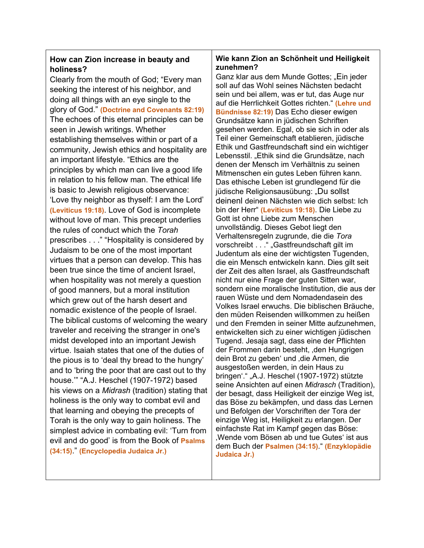# **How can Zion increase in beauty and holiness?**

Clearly from the mouth of God; "Every man seeking the interest of his neighbor, and doing all things with an eye single to the glory of God." **(Doctrine and Covenants 82:19)** The echoes of this eternal principles can be seen in Jewish writings. Whether establishing themselves within or part of a community, Jewish ethics and hospitality are an important lifestyle. "Ethics are the principles by which man can live a good life in relation to his fellow man. The ethical life is basic to Jewish religious observance: 'Love thy neighbor as thyself: I am the Lord' **(Leviticus 19:18)**. Love of God is incomplete without love of man. This precept underlies the rules of conduct which the *Torah* prescribes . . ." "Hospitality is considered by Judaism to be one of the most important virtues that a person can develop. This has been true since the time of ancient Israel, when hospitality was not merely a question of good manners, but a moral institution which grew out of the harsh desert and nomadic existence of the people of Israel. The biblical customs of welcoming the weary traveler and receiving the stranger in one's midst developed into an important Jewish virtue. Isaiah states that one of the duties of the pious is to 'deal thy bread to the hungry' and to 'bring the poor that are cast out to thy house.'" "A.J. Heschel (1907-1972) based his views on a *Midrash* (tradition) stating that holiness is the only way to combat evil and that learning and obeying the precepts of Torah is the only way to gain holiness. The simplest advice in combating evil: 'Turn from evil and do good' is from the Book of **Psalms (34:15)**." **(Encyclopedia Judaica Jr.)**

# **Wie kann Zion an Schönheit und Heiligkeit zunehmen?**

Ganz klar aus dem Munde Gottes; "Ein jeder soll auf das Wohl seines Nächsten bedacht sein und bei allem, was er tut, das Auge nur auf die Herrlichkeit Gottes richten." **(Lehre und Bündnisse 82:19)** Das Echo dieser ewigen Grundsätze kann in jüdischen Schriften gesehen werden. Egal, ob sie sich in oder als Teil einer Gemeinschaft etablieren, jüdische Ethik und Gastfreundschaft sind ein wichtiger Lebensstil. "Ethik sind die Grundsätze, nach denen der Mensch im Verhältnis zu seinen Mitmenschen ein gutes Leben führen kann. Das ethische Leben ist grundlegend für die jüdische Religionsausübung: "Du sollst deinenl deinen Nächsten wie dich selbst: Ich bin der Herr" **(Leviticus 19:18)**. Die Liebe zu Gott ist ohne Liebe zum Menschen unvollständig. Dieses Gebot liegt den Verhaltensregeln zugrunde, die die *Tora* vorschreibt . . . " "Gastfreundschaft gilt im Judentum als eine der wichtigsten Tugenden, die ein Mensch entwickeln kann. Dies gilt seit der Zeit des alten Israel, als Gastfreundschaft nicht nur eine Frage der guten Sitten war, sondern eine moralische Institution, die aus der rauen Wüste und dem Nomadendasein des Volkes Israel erwuchs. Die biblischen Bräuche, den müden Reisenden willkommen zu heißen und den Fremden in seiner Mitte aufzunehmen, entwickelten sich zu einer wichtigen jüdischen Tugend. Jesaja sagt, dass eine der Pflichten der Frommen darin besteht, ,den Hungrigen dein Brot zu geben' und , die Armen, die ausgestoßen werden, in dein Haus zu bringen'." "A.J. Heschel (1907-1972) stützte seine Ansichten auf einen *Midrasch* (Tradition), der besagt, dass Heiligkeit der einzige Weg ist, das Böse zu bekämpfen, und dass das Lernen und Befolgen der Vorschriften der Tora der einzige Weg ist, Heiligkeit zu erlangen. Der einfachste Rat im Kampf gegen das Böse: 'Wende vom Bösen ab und tue Gutes' ist aus dem Buch der **Psalmen (34:15)**." **(Enzyklopädie Judaica Jr.)**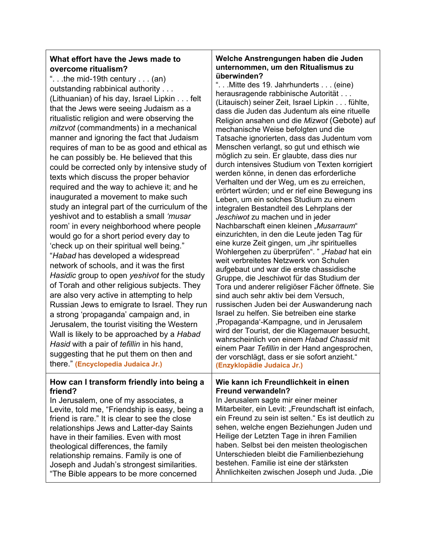# **What effort have the Jews made to overcome ritualism?**

". . .the mid-19th century . . . (an) outstanding rabbinical authority . . . (Lithuanian) of his day, Israel Lipkin . . . felt that the Jews were seeing Judaism as a ritualistic religion and were observing the *mitzvot* (commandments) in a mechanical manner and ignoring the fact that Judaism requires of man to be as good and ethical as he can possibly be. He believed that this could be corrected only by intensive study of texts which discuss the proper behavior required and the way to achieve it; and he inaugurated a movement to make such study an integral part of the curriculum of the yeshivot and to establish a small *'musar*  room' in every neighborhood where people would go for a short period every day to 'check up on their spiritual well being." "*Habad* has developed a widespread network of schools, and it was the first *Hasidic* group to open *yeshivot* for the study of Torah and other religious subjects. They are also very active in attempting to help Russian Jews to emigrate to Israel. They run a strong 'propaganda' campaign and, in Jerusalem, the tourist visiting the Western Wall is likely to be approached by a *Habad Hasid* with a pair of *tefillin* in his hand, suggesting that he put them on then and there." **(Encyclopedia Judaica Jr.)**

# **How can I transform friendly into being a friend?**

In Jerusalem, one of my associates, a Levite, told me, "Friendship is easy, being a friend is rare." It is clear to see the close relationships Jews and Latter-day Saints have in their families. Even with most theological differences, the family relationship remains. Family is one of Joseph and Judah's strongest similarities. "The Bible appears to be more concerned

# **Welche Anstrengungen haben die Juden unternommen, um den Ritualismus zu überwinden?**

". . .Mitte des 19. Jahrhunderts . . . (eine) herausragende rabbinische Autorität . . . (Litauisch) seiner Zeit, Israel Lipkin . . . fühlte, dass die Juden das Judentum als eine rituelle Religion ansahen und die *Mizwot* (Gebote) auf mechanische Weise befolgten und die Tatsache ignorierten, dass das Judentum vom Menschen verlangt, so gut und ethisch wie möglich zu sein. Er glaubte, dass dies nur durch intensives Studium von Texten korrigiert werden könne, in denen das erforderliche Verhalten und der Weg, um es zu erreichen, erörtert würden; und er rief eine Bewegung ins Leben, um ein solches Studium zu einem integralen Bestandteil des Lehrplans der *Jeschiwot* zu machen und in jeder Nachbarschaft einen kleinen "*Musarraum*" einzurichten, in den die Leute jeden Tag für eine kurze Zeit gingen, um "ihr spirituelles Wohlergehen zu überprüfen". " "Habad hat ein weit verbreitetes Netzwerk von Schulen aufgebaut und war die erste chassidische Gruppe, die Jeschiwot für das Studium der Tora und anderer religiöser Fächer öffnete. Sie sind auch sehr aktiv bei dem Versuch, russischen Juden bei der Auswanderung nach Israel zu helfen. Sie betreiben eine starke 'Propaganda'-Kampagne, und in Jerusalem wird der Tourist, der die Klagemauer besucht, wahrscheinlich von einem *Habad Chassid* mit einem Paar *Tefillin* in der Hand angesprochen, der vorschlägt, dass er sie sofort anzieht." **(Enzyklopädie Judaica Jr.)**

# **Wie kann ich Freundlichkeit in einen Freund verwandeln?**

In Jerusalem sagte mir einer meiner Mitarbeiter, ein Levit: "Freundschaft ist einfach, ein Freund zu sein ist selten." Es ist deutlich zu sehen, welche engen Beziehungen Juden und Heilige der Letzten Tage in ihren Familien haben. Selbst bei den meisten theologischen Unterschieden bleibt die Familienbeziehung bestehen. Familie ist eine der stärksten Ähnlichkeiten zwischen Joseph und Juda. "Die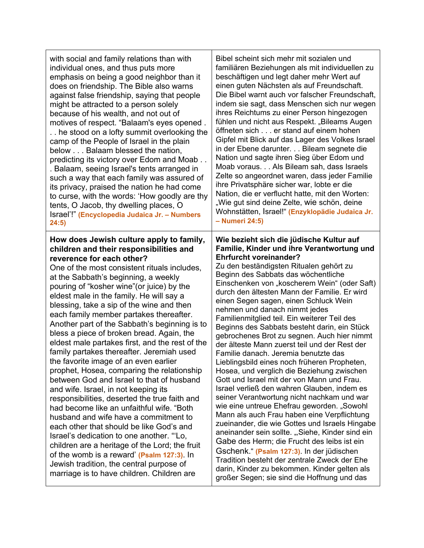with social and family relations than with individual ones, and thus puts more emphasis on being a good neighbor than it does on friendship. The Bible also warns against false friendship, saying that people might be attracted to a person solely because of his wealth, and not out of motives of respect. "Balaam's eyes opened . . . he stood on a lofty summit overlooking the camp of the People of Israel in the plain below . . . Balaam blessed the nation, predicting its victory over Edom and Moab . . . Balaam, seeing Israel's tents arranged in such a way that each family was assured of its privacy, praised the nation he had come to curse, with the words: 'How goodly are thy tents, O Jacob, thy dwelling places, O Israel'!" **(Encyclopedia Judaica Jr. – Numbers 24:5)**

# **How does Jewish culture apply to family, children and their responsibilities and reverence for each other?**

One of the most consistent rituals includes, at the Sabbath's beginning, a weekly pouring of "kosher wine"(or juice) by the eldest male in the family. He will say a blessing, take a sip of the wine and then each family member partakes thereafter. Another part of the Sabbath's beginning is to bless a piece of broken bread. Again, the eldest male partakes first, and the rest of the family partakes thereafter. Jeremiah used the favorite image of an even earlier prophet, Hosea, comparing the relationship between God and Israel to that of husband and wife. Israel, in not keeping its responsibilities, deserted the true faith and had become like an unfaithful wife. "Both husband and wife have a commitment to each other that should be like God's and Israel's dedication to one another. "'Lo, children are a heritage of the Lord; the fruit of the womb is a reward' **(Psalm 127:3)**. In Jewish tradition, the central purpose of marriage is to have children. Children are

Bibel scheint sich mehr mit sozialen und familiären Beziehungen als mit individuellen zu beschäftigen und legt daher mehr Wert auf einen guten Nächsten als auf Freundschaft. Die Bibel warnt auch vor falscher Freundschaft, indem sie sagt, dass Menschen sich nur wegen ihres Reichtums zu einer Person hingezogen fühlen und nicht aus Respekt. "Bileams Augen öffneten sich . . . er stand auf einem hohen Gipfel mit Blick auf das Lager des Volkes Israel in der Ebene darunter. . . Bileam segnete die Nation und sagte ihren Sieg über Edom und Moab voraus. . . Als Bileam sah, dass Israels Zelte so angeordnet waren, dass jeder Familie ihre Privatsphäre sicher war, lobte er die Nation, die er verflucht hatte, mit den Worten: "Wie gut sind deine Zelte, wie schön, deine Wohnstätten, Israel!" **(Enzyklopädie Judaica Jr. – Numeri 24:5)**

#### **Wie bezieht sich die jüdische Kultur auf Familie, Kinder und ihre Verantwortung und Ehrfurcht voreinander?**

Zu den beständigsten Ritualen gehört zu Beginn des Sabbats das wöchentliche Einschenken von "koscherem Wein" (oder Saft) durch den ältesten Mann der Familie. Er wird einen Segen sagen, einen Schluck Wein nehmen und danach nimmt jedes Familienmitglied teil. Ein weiterer Teil des Beginns des Sabbats besteht darin, ein Stück gebrochenes Brot zu segnen. Auch hier nimmt der älteste Mann zuerst teil und der Rest der Familie danach. Jeremia benutzte das Lieblingsbild eines noch früheren Propheten, Hosea, und verglich die Beziehung zwischen Gott und Israel mit der von Mann und Frau. Israel verließ den wahren Glauben, indem es seiner Verantwortung nicht nachkam und war wie eine untreue Ehefrau geworden. "Sowohl Mann als auch Frau haben eine Verpflichtung zueinander, die wie Gottes und Israels Hingabe aneinander sein sollte. "Siehe, Kinder sind ein Gabe des Herrn; die Frucht des leibs ist ein Gschenk." **(Psalm 127:3)**. In der jüdischen Tradition besteht der zentrale Zweck der Ehe darin, Kinder zu bekommen. Kinder gelten als großer Segen; sie sind die Hoffnung und das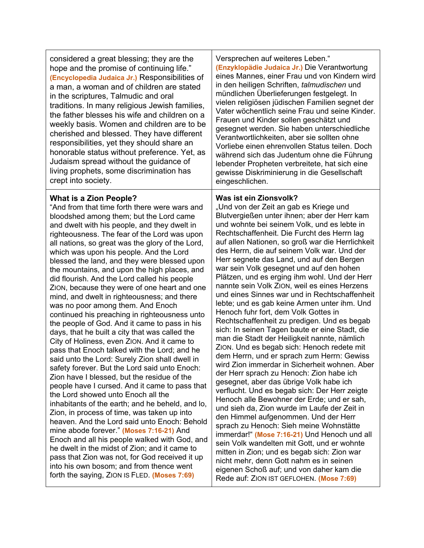considered a great blessing; they are the hope and the promise of continuing life." **(Encyclopedia Judaica Jr.)** Responsibilities of a man, a woman and of children are stated in the scriptures, Talmudic and oral traditions. In many religious Jewish families, the father blesses his wife and children on a weekly basis. Women and children are to be cherished and blessed. They have different responsibilities, yet they should share an honorable status without preference. Yet, as Judaism spread without the guidance of living prophets, some discrimination has crept into society.

# **What is a Zion People?**

"And from that time forth there were wars and bloodshed among them; but the Lord came and dwelt with his people, and they dwelt in righteousness. The fear of the Lord was upon all nations, so great was the glory of the Lord, which was upon his people. And the Lord blessed the land, and they were blessed upon the mountains, and upon the high places, and did flourish. And the Lord called his people ZION, because they were of one heart and one mind, and dwelt in righteousness; and there was no poor among them. And Enoch continued his preaching in righteousness unto the people of God. And it came to pass in his days, that he built a city that was called the City of Holiness, even ZION. And it came to pass that Enoch talked with the Lord; and he said unto the Lord: Surely Zion shall dwell in safety forever. But the Lord said unto Enoch: Zion have I blessed, but the residue of the people have I cursed. And it came to pass that the Lord showed unto Enoch all the inhabitants of the earth; and he beheld, and lo, Zion, in process of time, was taken up into heaven. And the Lord said unto Enoch: Behold mine abode forever." **(Moses 7:16-21)** And Enoch and all his people walked with God, and he dwelt in the midst of Zion; and it came to pass that Zion was not, for God received it up into his own bosom; and from thence went forth the saying, ZION IS FLED. **(Moses 7:69)**

Versprechen auf weiteres Leben." **(Enzyklopädie Judaica Jr.)** Die Verantwortung eines Mannes, einer Frau und von Kindern wird in den heiligen Schriften, *talmudischen* und mündlichen Überlieferungen festgelegt. In vielen religiösen jüdischen Familien segnet der Vater wöchentlich seine Frau und seine Kinder. Frauen und Kinder sollen geschätzt und gesegnet werden. Sie haben unterschiedliche Verantwortlichkeiten, aber sie sollten ohne Vorliebe einen ehrenvollen Status teilen. Doch während sich das Judentum ohne die Führung lebender Propheten verbreitete, hat sich eine gewisse Diskriminierung in die Gesellschaft eingeschlichen.

# **Was ist ein Zionsvolk?**

"Und von der Zeit an gab es Kriege und Blutvergießen unter ihnen; aber der Herr kam und wohnte bei seinem Volk, und es lebte in Rechtschaffenheit. Die Furcht des Herrn lag auf allen Nationen, so groß war die Herrlichkeit des Herrn, die auf seinem Volk war. Und der Herr segnete das Land, und auf den Bergen war sein Volk gesegnet und auf den hohen Plätzen, und es erging ihm wohl. Und der Herr nannte sein Volk ZION, weil es eines Herzens und eines Sinnes war und in Rechtschaffenheit lebte; und es gab keine Armen unter ihm. Und Henoch fuhr fort, dem Volk Gottes in Rechtschaffenheit zu predigen. Und es begab sich: In seinen Tagen baute er eine Stadt, die man die Stadt der Heiligkeit nannte, nämlich ZION. Und es begab sich: Henoch redete mit dem Herrn, und er sprach zum Herrn: Gewiss wird Zion immerdar in Sicherheit wohnen. Aber der Herr sprach zu Henoch: Zion habe ich gesegnet, aber das übrige Volk habe ich verflucht. Und es begab sich: Der Herr zeigte Henoch alle Bewohner der Erde; und er sah, und sieh da, Zion wurde im Laufe der Zeit in den Himmel aufgenommen. Und der Herr sprach zu Henoch: Sieh meine Wohnstätte immerdar!" **(Mose 7:16-21)** Und Henoch und all sein Volk wandelten mit Gott, und er wohnte mitten in Zion; und es begab sich: Zion war nicht mehr, denn Gott nahm es in seinen eigenen Schoß auf; und von daher kam die Rede auf: ZION IST GEFLOHEN. **(Mose 7:69)**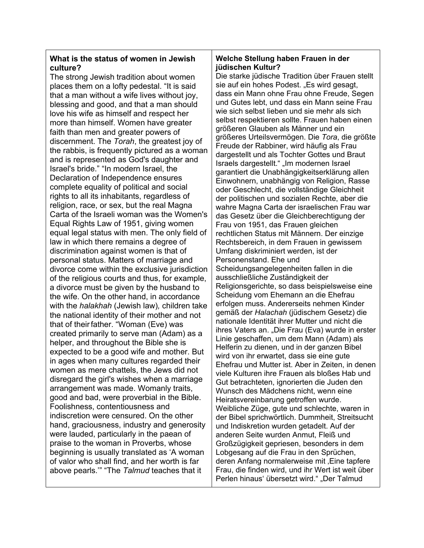# **What is the status of women in Jewish culture?**

The strong Jewish tradition about women places them on a lofty pedestal. "It is said that a man without a wife lives without joy, blessing and good, and that a man should love his wife as himself and respect her more than himself. Women have greater faith than men and greater powers of discernment. The *Torah*, the greatest joy of the rabbis, is frequently pictured as a woman and is represented as God's daughter and Israel's bride." "In modern Israel, the Declaration of Independence ensures complete equality of political and social rights to all its inhabitants, regardless of religion, race, or sex, but the real Magna Carta of the Israeli woman was the Women's Equal Rights Law of 1951, giving women equal legal status with men. The only field of law in which there remains a degree of discrimination against women is that of personal status. Matters of marriage and divorce come within the exclusive jurisdiction of the religious courts and thus, for example, a divorce must be given by the husband to the wife. On the other hand, in accordance with the *halakhah* (Jewish law)*,* children take the national identity of their mother and not that of theirfather. "Woman (Eve) was created primarily to serve man (Adam) as a helper, and throughout the Bible she is expected to be a good wife and mother. But in ages when many cultures regarded their women as mere chattels, the Jews did not disregard the girl's wishes when a marriage arrangement was made. Womanly traits, good and bad, were proverbial in the Bible. Foolishness, contentiousness and indiscretion were censured. On the other hand, graciousness, industry and generosity were lauded, particularly in the paean of praise to the woman in Proverbs, whose beginning is usually translated as 'A woman of valor who shall find, and her worth is far above pearls.'" "The *Talmud* teaches that it

# **Welche Stellung haben Frauen in der jüdischen Kultur?**

Die starke jüdische Tradition über Frauen stellt sie auf ein hohes Podest. "Es wird gesagt, dass ein Mann ohne Frau ohne Freude, Segen und Gutes lebt, und dass ein Mann seine Frau wie sich selbst lieben und sie mehr als sich selbst respektieren sollte. Frauen haben einen größeren Glauben als Männer und ein größeres Urteilsvermögen. Die *Tora*, die größte Freude der Rabbiner, wird häufig als Frau dargestellt und als Tochter Gottes und Braut Israels dargestellt." "Im modernen Israel garantiert die Unabhängigkeitserklärung allen Einwohnern, unabhängig von Religion, Rasse oder Geschlecht, die vollständige Gleichheit der politischen und sozialen Rechte, aber die wahre Magna Carta der israelischen Frau war das Gesetz über die Gleichberechtigung der Frau von 1951, das Frauen gleichen rechtlichen Status mit Männern. Der einzige Rechtsbereich, in dem Frauen in gewissem Umfang diskriminiert werden, ist der Personenstand. Ehe und Scheidungsangelegenheiten fallen in die ausschließliche Zuständigkeit der Religionsgerichte, so dass beispielsweise eine Scheidung vom Ehemann an die Ehefrau erfolgen muss. Andererseits nehmen Kinder gemäß der *Halachah* (jüdischem Gesetz) die nationale Identität ihrer Mutter und nicht die ihres Vaters an. "Die Frau (Eva) wurde in erster Linie geschaffen, um dem Mann (Adam) als Helferin zu dienen, und in der ganzen Bibel wird von ihr erwartet, dass sie eine gute Ehefrau und Mutter ist. Aber in Zeiten, in denen viele Kulturen ihre Frauen als bloßes Hab und Gut betrachteten, ignorierten die Juden den Wunsch des Mädchens nicht, wenn eine Heiratsvereinbarung getroffen wurde. Weibliche Züge, gute und schlechte, waren in der Bibel sprichwörtlich. Dummheit, Streitsucht und Indiskretion wurden getadelt. Auf der anderen Seite wurden Anmut, Fleiß und Großzügigkeit gepriesen, besonders in dem Lobgesang auf die Frau in den Sprüchen, deren Anfang normalerweise mit Eine tapfere Frau, die finden wird, und ihr Wert ist weit über Perlen hinaus' übersetzt wird." "Der Talmud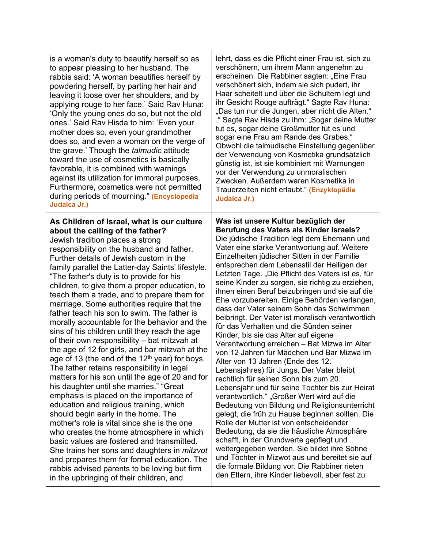| is a woman's duty to beautify herself so as                                                                                                                                                                                                                                                                                                                                                                                                                                                                                                                                                                                                                                                                                                                                                                                                                                                                                                                                                                                                                                                                                                                                                                                                                                                                                                                                                     | lehrt, dass es die Pflicht einer Frau ist, sich zu                                                                                                                                                                                                                                                                                                                                                                                                                                                                                                                                                                                                                                                                                                                                                                                                                                                                                                                                                                                                                                                                                                                                                                                                                                                                                                                                                                                                 |
|-------------------------------------------------------------------------------------------------------------------------------------------------------------------------------------------------------------------------------------------------------------------------------------------------------------------------------------------------------------------------------------------------------------------------------------------------------------------------------------------------------------------------------------------------------------------------------------------------------------------------------------------------------------------------------------------------------------------------------------------------------------------------------------------------------------------------------------------------------------------------------------------------------------------------------------------------------------------------------------------------------------------------------------------------------------------------------------------------------------------------------------------------------------------------------------------------------------------------------------------------------------------------------------------------------------------------------------------------------------------------------------------------|----------------------------------------------------------------------------------------------------------------------------------------------------------------------------------------------------------------------------------------------------------------------------------------------------------------------------------------------------------------------------------------------------------------------------------------------------------------------------------------------------------------------------------------------------------------------------------------------------------------------------------------------------------------------------------------------------------------------------------------------------------------------------------------------------------------------------------------------------------------------------------------------------------------------------------------------------------------------------------------------------------------------------------------------------------------------------------------------------------------------------------------------------------------------------------------------------------------------------------------------------------------------------------------------------------------------------------------------------------------------------------------------------------------------------------------------------|
| to appear pleasing to her husband. The                                                                                                                                                                                                                                                                                                                                                                                                                                                                                                                                                                                                                                                                                                                                                                                                                                                                                                                                                                                                                                                                                                                                                                                                                                                                                                                                                          | verschönern, um ihrem Mann angenehm zu                                                                                                                                                                                                                                                                                                                                                                                                                                                                                                                                                                                                                                                                                                                                                                                                                                                                                                                                                                                                                                                                                                                                                                                                                                                                                                                                                                                                             |
| rabbis said: 'A woman beautifies herself by                                                                                                                                                                                                                                                                                                                                                                                                                                                                                                                                                                                                                                                                                                                                                                                                                                                                                                                                                                                                                                                                                                                                                                                                                                                                                                                                                     | erscheinen. Die Rabbiner sagten: "Eine Frau                                                                                                                                                                                                                                                                                                                                                                                                                                                                                                                                                                                                                                                                                                                                                                                                                                                                                                                                                                                                                                                                                                                                                                                                                                                                                                                                                                                                        |
| powdering herself, by parting her hair and                                                                                                                                                                                                                                                                                                                                                                                                                                                                                                                                                                                                                                                                                                                                                                                                                                                                                                                                                                                                                                                                                                                                                                                                                                                                                                                                                      | verschönert sich, indem sie sich pudert, ihr                                                                                                                                                                                                                                                                                                                                                                                                                                                                                                                                                                                                                                                                                                                                                                                                                                                                                                                                                                                                                                                                                                                                                                                                                                                                                                                                                                                                       |
| leaving it loose over her shoulders, and by                                                                                                                                                                                                                                                                                                                                                                                                                                                                                                                                                                                                                                                                                                                                                                                                                                                                                                                                                                                                                                                                                                                                                                                                                                                                                                                                                     | Haar scheitelt und über die Schultern legt und                                                                                                                                                                                                                                                                                                                                                                                                                                                                                                                                                                                                                                                                                                                                                                                                                                                                                                                                                                                                                                                                                                                                                                                                                                                                                                                                                                                                     |
| applying rouge to her face.' Said Rav Huna:                                                                                                                                                                                                                                                                                                                                                                                                                                                                                                                                                                                                                                                                                                                                                                                                                                                                                                                                                                                                                                                                                                                                                                                                                                                                                                                                                     | ihr Gesicht Rouge aufträgt." Sagte Rav Huna:                                                                                                                                                                                                                                                                                                                                                                                                                                                                                                                                                                                                                                                                                                                                                                                                                                                                                                                                                                                                                                                                                                                                                                                                                                                                                                                                                                                                       |
| 'Only the young ones do so, but not the old                                                                                                                                                                                                                                                                                                                                                                                                                                                                                                                                                                                                                                                                                                                                                                                                                                                                                                                                                                                                                                                                                                                                                                                                                                                                                                                                                     | "Das tun nur die Jungen, aber nicht die Alten."                                                                                                                                                                                                                                                                                                                                                                                                                                                                                                                                                                                                                                                                                                                                                                                                                                                                                                                                                                                                                                                                                                                                                                                                                                                                                                                                                                                                    |
| ones.' Said Rav Hisda to him: 'Even your                                                                                                                                                                                                                                                                                                                                                                                                                                                                                                                                                                                                                                                                                                                                                                                                                                                                                                                                                                                                                                                                                                                                                                                                                                                                                                                                                        | ." Sagte Rav Hisda zu ihm: "Sogar deine Mutter                                                                                                                                                                                                                                                                                                                                                                                                                                                                                                                                                                                                                                                                                                                                                                                                                                                                                                                                                                                                                                                                                                                                                                                                                                                                                                                                                                                                     |
| mother does so, even your grandmother                                                                                                                                                                                                                                                                                                                                                                                                                                                                                                                                                                                                                                                                                                                                                                                                                                                                                                                                                                                                                                                                                                                                                                                                                                                                                                                                                           | tut es, sogar deine Großmutter tut es und                                                                                                                                                                                                                                                                                                                                                                                                                                                                                                                                                                                                                                                                                                                                                                                                                                                                                                                                                                                                                                                                                                                                                                                                                                                                                                                                                                                                          |
| does so, and even a woman on the verge of                                                                                                                                                                                                                                                                                                                                                                                                                                                                                                                                                                                                                                                                                                                                                                                                                                                                                                                                                                                                                                                                                                                                                                                                                                                                                                                                                       | sogar eine Frau am Rande des Grabes."                                                                                                                                                                                                                                                                                                                                                                                                                                                                                                                                                                                                                                                                                                                                                                                                                                                                                                                                                                                                                                                                                                                                                                                                                                                                                                                                                                                                              |
| the grave.' Though the <i>talmudic</i> attitude                                                                                                                                                                                                                                                                                                                                                                                                                                                                                                                                                                                                                                                                                                                                                                                                                                                                                                                                                                                                                                                                                                                                                                                                                                                                                                                                                 | Obwohl die talmudische Einstellung gegenüber                                                                                                                                                                                                                                                                                                                                                                                                                                                                                                                                                                                                                                                                                                                                                                                                                                                                                                                                                                                                                                                                                                                                                                                                                                                                                                                                                                                                       |
| toward the use of cosmetics is basically                                                                                                                                                                                                                                                                                                                                                                                                                                                                                                                                                                                                                                                                                                                                                                                                                                                                                                                                                                                                                                                                                                                                                                                                                                                                                                                                                        | der Verwendung von Kosmetika grundsätzlich                                                                                                                                                                                                                                                                                                                                                                                                                                                                                                                                                                                                                                                                                                                                                                                                                                                                                                                                                                                                                                                                                                                                                                                                                                                                                                                                                                                                         |
| favorable, it is combined with warnings                                                                                                                                                                                                                                                                                                                                                                                                                                                                                                                                                                                                                                                                                                                                                                                                                                                                                                                                                                                                                                                                                                                                                                                                                                                                                                                                                         | günstig ist, ist sie kombiniert mit Warnungen                                                                                                                                                                                                                                                                                                                                                                                                                                                                                                                                                                                                                                                                                                                                                                                                                                                                                                                                                                                                                                                                                                                                                                                                                                                                                                                                                                                                      |
| against its utilization for immoral purposes.                                                                                                                                                                                                                                                                                                                                                                                                                                                                                                                                                                                                                                                                                                                                                                                                                                                                                                                                                                                                                                                                                                                                                                                                                                                                                                                                                   | vor der Verwendung zu unmoralischen                                                                                                                                                                                                                                                                                                                                                                                                                                                                                                                                                                                                                                                                                                                                                                                                                                                                                                                                                                                                                                                                                                                                                                                                                                                                                                                                                                                                                |
| Furthermore, cosmetics were not permitted                                                                                                                                                                                                                                                                                                                                                                                                                                                                                                                                                                                                                                                                                                                                                                                                                                                                                                                                                                                                                                                                                                                                                                                                                                                                                                                                                       | Zwecken. Außerdem waren Kosmetika in                                                                                                                                                                                                                                                                                                                                                                                                                                                                                                                                                                                                                                                                                                                                                                                                                                                                                                                                                                                                                                                                                                                                                                                                                                                                                                                                                                                                               |
| during periods of mourning." (Encyclopedia                                                                                                                                                                                                                                                                                                                                                                                                                                                                                                                                                                                                                                                                                                                                                                                                                                                                                                                                                                                                                                                                                                                                                                                                                                                                                                                                                      | Trauerzeiten nicht erlaubt." (Enzyklopädie                                                                                                                                                                                                                                                                                                                                                                                                                                                                                                                                                                                                                                                                                                                                                                                                                                                                                                                                                                                                                                                                                                                                                                                                                                                                                                                                                                                                         |
| Judaica Jr.)                                                                                                                                                                                                                                                                                                                                                                                                                                                                                                                                                                                                                                                                                                                                                                                                                                                                                                                                                                                                                                                                                                                                                                                                                                                                                                                                                                                    | Judaica Jr.)                                                                                                                                                                                                                                                                                                                                                                                                                                                                                                                                                                                                                                                                                                                                                                                                                                                                                                                                                                                                                                                                                                                                                                                                                                                                                                                                                                                                                                       |
| As Children of Israel, what is our culture<br>about the calling of the father?<br>Jewish tradition places a strong<br>responsibility on the husband and father.<br>Further details of Jewish custom in the<br>family parallel the Latter-day Saints' lifestyle.<br>"The father's duty is to provide for his<br>children, to give them a proper education, to<br>teach them a trade, and to prepare them for<br>marriage. Some authorities require that the<br>father teach his son to swim. The father is<br>morally accountable for the behavior and the<br>sins of his children until they reach the age<br>of their own responsibility - bat mitzvah at<br>the age of 12 for girls, and bar mitzvah at the<br>age of 13 (the end of the 12 <sup>th</sup> year) for boys.<br>The father retains responsibility in legal<br>matters for his son until the age of 20 and for<br>his daughter until she marries." "Great<br>emphasis is placed on the importance of<br>education and religious training, which<br>should begin early in the home. The<br>mother's role is vital since she is the one<br>who creates the home atmosphere in which<br>basic values are fostered and transmitted.<br>She trains her sons and daughters in <i>mitzvot</i><br>and prepares them for formal education. The<br>rabbis advised parents to be loving but firm<br>in the upbringing of their children, and | Was ist unsere Kultur bezüglich der<br>Berufung des Vaters als Kinder Israels?<br>Die jüdische Tradition legt dem Ehemann und<br>Vater eine starke Verantwortung auf. Weitere<br>Einzelheiten jüdischer Sitten in der Familie<br>entsprechen dem Lebensstil der Heiligen der<br>Letzten Tage. "Die Pflicht des Vaters ist es, für<br>seine Kinder zu sorgen, sie richtig zu erziehen,<br>ihnen einen Beruf beizubringen und sie auf die<br>Ehe vorzubereiten. Einige Behörden verlangen,<br>dass der Vater seinem Sohn das Schwimmen<br>beibringt. Der Vater ist moralisch verantwortlich<br>für das Verhalten und die Sünden seiner<br>Kinder, bis sie das Alter auf eigene<br>Verantwortung erreichen - Bat Mizwa im Alter<br>von 12 Jahren für Mädchen und Bar Mizwa im<br>Alter von 13 Jahren (Ende des 12.<br>Lebensjahres) für Jungs. Der Vater bleibt<br>rechtlich für seinen Sohn bis zum 20.<br>Lebensjahr und für seine Tochter bis zur Heirat<br>verantwortlich." "Großer Wert wird auf die<br>Bedeutung von Bildung und Religionsunterricht<br>gelegt, die früh zu Hause beginnen sollten. Die<br>Rolle der Mutter ist von entscheidender<br>Bedeutung, da sie die häusliche Atmosphäre<br>schafft, in der Grundwerte gepflegt und<br>weitergegeben werden. Sie bildet ihre Söhne<br>und Töchter in Mizwot aus und bereitet sie auf<br>die formale Bildung vor. Die Rabbiner rieten<br>den Eltern, ihre Kinder liebevoll, aber fest zu |